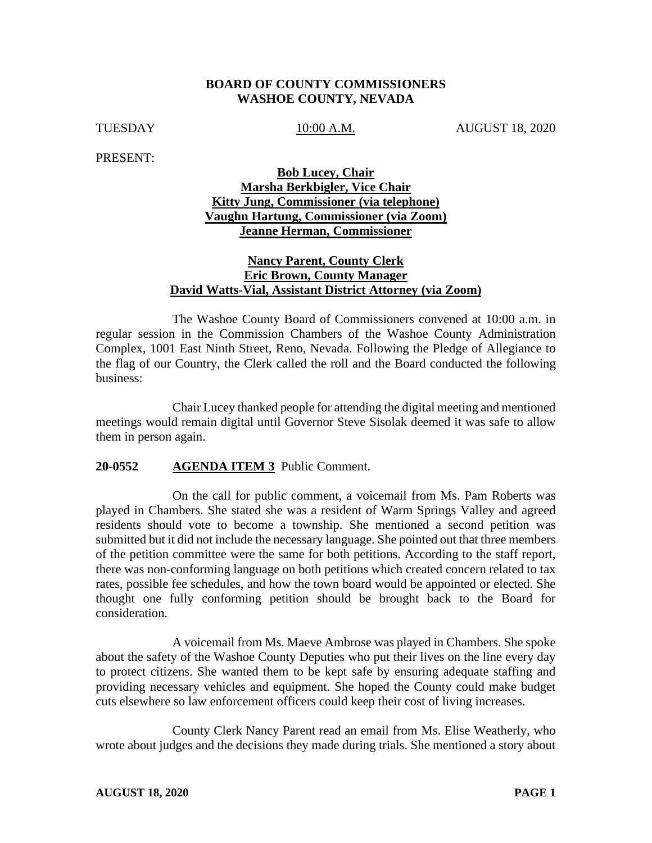#### **BOARD OF COUNTY COMMISSIONERS WASHOE COUNTY, NEVADA**

TUESDAY 10:00 A.M. AUGUST 18, 2020

PRESENT:

## **Bob Lucey, Chair Marsha Berkbigler, Vice Chair Kitty Jung, Commissioner (via telephone) Vaughn Hartung, Commissioner (via Zoom) Jeanne Herman, Commissioner**

#### **Nancy Parent, County Clerk Eric Brown, County Manager David Watts-Vial, Assistant District Attorney (via Zoom)**

The Washoe County Board of Commissioners convened at 10:00 a.m. in regular session in the Commission Chambers of the Washoe County Administration Complex, 1001 East Ninth Street, Reno, Nevada. Following the Pledge of Allegiance to the flag of our Country, the Clerk called the roll and the Board conducted the following business:

Chair Lucey thanked people for attending the digital meeting and mentioned meetings would remain digital until Governor Steve Sisolak deemed it was safe to allow them in person again.

#### **20-0552 AGENDA ITEM 3** Public Comment.

On the call for public comment, a voicemail from Ms. Pam Roberts was played in Chambers. She stated she was a resident of Warm Springs Valley and agreed residents should vote to become a township. She mentioned a second petition was submitted but it did not include the necessary language. She pointed out that three members of the petition committee were the same for both petitions. According to the staff report, there was non-conforming language on both petitions which created concern related to tax rates, possible fee schedules, and how the town board would be appointed or elected. She thought one fully conforming petition should be brought back to the Board for consideration.

A voicemail from Ms. Maeve Ambrose was played in Chambers. She spoke about the safety of the Washoe County Deputies who put their lives on the line every day to protect citizens. She wanted them to be kept safe by ensuring adequate staffing and providing necessary vehicles and equipment. She hoped the County could make budget cuts elsewhere so law enforcement officers could keep their cost of living increases.

County Clerk Nancy Parent read an email from Ms. Elise Weatherly, who wrote about judges and the decisions they made during trials. She mentioned a story about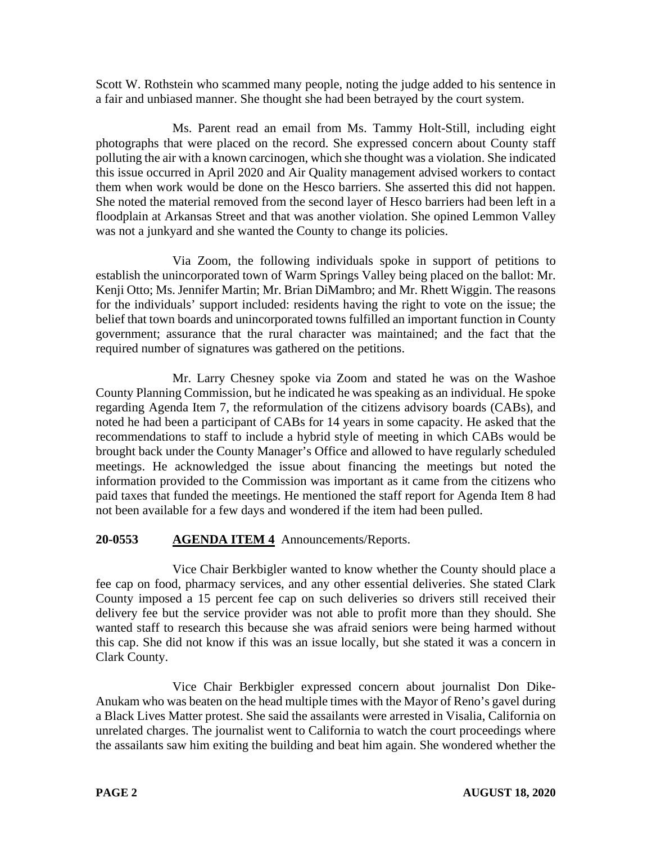Scott W. Rothstein who scammed many people, noting the judge added to his sentence in a fair and unbiased manner. She thought she had been betrayed by the court system.

Ms. Parent read an email from Ms. Tammy Holt-Still, including eight photographs that were placed on the record. She expressed concern about County staff polluting the air with a known carcinogen, which she thought was a violation. She indicated this issue occurred in April 2020 and Air Quality management advised workers to contact them when work would be done on the Hesco barriers. She asserted this did not happen. She noted the material removed from the second layer of Hesco barriers had been left in a floodplain at Arkansas Street and that was another violation. She opined Lemmon Valley was not a junkyard and she wanted the County to change its policies.

Via Zoom, the following individuals spoke in support of petitions to establish the unincorporated town of Warm Springs Valley being placed on the ballot: Mr. Kenji Otto; Ms. Jennifer Martin; Mr. Brian DiMambro; and Mr. Rhett Wiggin. The reasons for the individuals' support included: residents having the right to vote on the issue; the belief that town boards and unincorporated towns fulfilled an important function in County government; assurance that the rural character was maintained; and the fact that the required number of signatures was gathered on the petitions.

Mr. Larry Chesney spoke via Zoom and stated he was on the Washoe County Planning Commission, but he indicated he was speaking as an individual. He spoke regarding Agenda Item 7, the reformulation of the citizens advisory boards (CABs), and noted he had been a participant of CABs for 14 years in some capacity. He asked that the recommendations to staff to include a hybrid style of meeting in which CABs would be brought back under the County Manager's Office and allowed to have regularly scheduled meetings. He acknowledged the issue about financing the meetings but noted the information provided to the Commission was important as it came from the citizens who paid taxes that funded the meetings. He mentioned the staff report for Agenda Item 8 had not been available for a few days and wondered if the item had been pulled.

# **20-0553 AGENDA ITEM 4** Announcements/Reports.

Vice Chair Berkbigler wanted to know whether the County should place a fee cap on food, pharmacy services, and any other essential deliveries. She stated Clark County imposed a 15 percent fee cap on such deliveries so drivers still received their delivery fee but the service provider was not able to profit more than they should. She wanted staff to research this because she was afraid seniors were being harmed without this cap. She did not know if this was an issue locally, but she stated it was a concern in Clark County.

Vice Chair Berkbigler expressed concern about journalist Don Dike-Anukam who was beaten on the head multiple times with the Mayor of Reno's gavel during a Black Lives Matter protest. She said the assailants were arrested in Visalia, California on unrelated charges. The journalist went to California to watch the court proceedings where the assailants saw him exiting the building and beat him again. She wondered whether the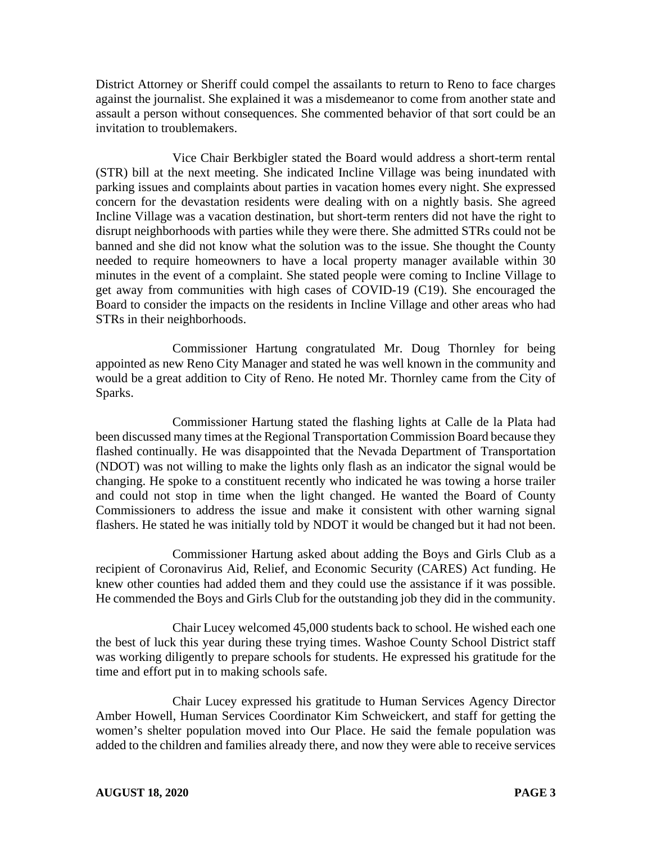District Attorney or Sheriff could compel the assailants to return to Reno to face charges against the journalist. She explained it was a misdemeanor to come from another state and assault a person without consequences. She commented behavior of that sort could be an invitation to troublemakers.

Vice Chair Berkbigler stated the Board would address a short-term rental (STR) bill at the next meeting. She indicated Incline Village was being inundated with parking issues and complaints about parties in vacation homes every night. She expressed concern for the devastation residents were dealing with on a nightly basis. She agreed Incline Village was a vacation destination, but short-term renters did not have the right to disrupt neighborhoods with parties while they were there. She admitted STRs could not be banned and she did not know what the solution was to the issue. She thought the County needed to require homeowners to have a local property manager available within 30 minutes in the event of a complaint. She stated people were coming to Incline Village to get away from communities with high cases of COVID-19 (C19). She encouraged the Board to consider the impacts on the residents in Incline Village and other areas who had STRs in their neighborhoods.

Commissioner Hartung congratulated Mr. Doug Thornley for being appointed as new Reno City Manager and stated he was well known in the community and would be a great addition to City of Reno. He noted Mr. Thornley came from the City of Sparks.

Commissioner Hartung stated the flashing lights at Calle de la Plata had been discussed many times at the Regional Transportation Commission Board because they flashed continually. He was disappointed that the Nevada Department of Transportation (NDOT) was not willing to make the lights only flash as an indicator the signal would be changing. He spoke to a constituent recently who indicated he was towing a horse trailer and could not stop in time when the light changed. He wanted the Board of County Commissioners to address the issue and make it consistent with other warning signal flashers. He stated he was initially told by NDOT it would be changed but it had not been.

Commissioner Hartung asked about adding the Boys and Girls Club as a recipient of Coronavirus Aid, Relief, and Economic Security (CARES) Act funding. He knew other counties had added them and they could use the assistance if it was possible. He commended the Boys and Girls Club for the outstanding job they did in the community.

Chair Lucey welcomed 45,000 students back to school. He wished each one the best of luck this year during these trying times. Washoe County School District staff was working diligently to prepare schools for students. He expressed his gratitude for the time and effort put in to making schools safe.

Chair Lucey expressed his gratitude to Human Services Agency Director Amber Howell, Human Services Coordinator Kim Schweickert, and staff for getting the women's shelter population moved into Our Place. He said the female population was added to the children and families already there, and now they were able to receive services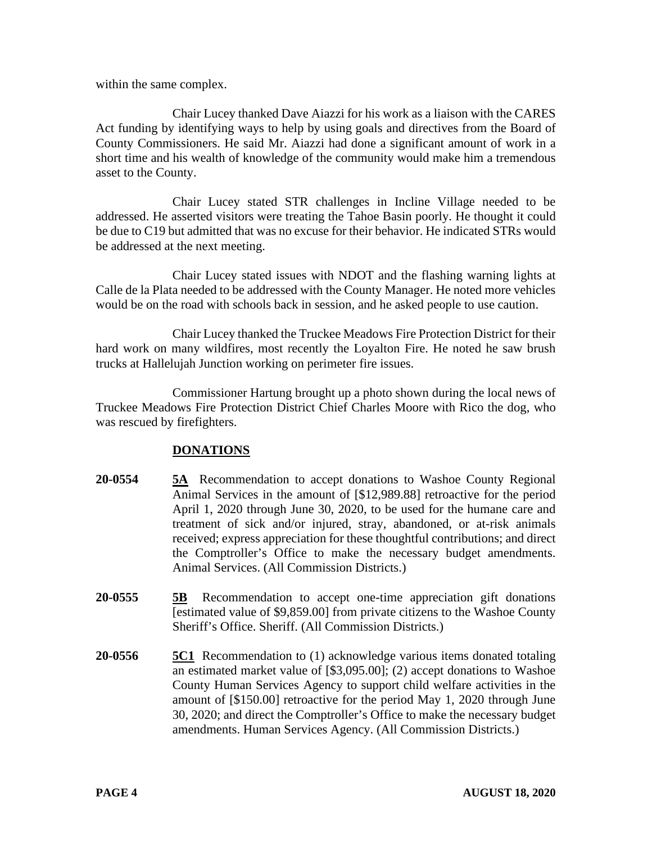within the same complex.

Chair Lucey thanked Dave Aiazzi for his work as a liaison with the CARES Act funding by identifying ways to help by using goals and directives from the Board of County Commissioners. He said Mr. Aiazzi had done a significant amount of work in a short time and his wealth of knowledge of the community would make him a tremendous asset to the County.

Chair Lucey stated STR challenges in Incline Village needed to be addressed. He asserted visitors were treating the Tahoe Basin poorly. He thought it could be due to C19 but admitted that was no excuse for their behavior. He indicated STRs would be addressed at the next meeting.

Chair Lucey stated issues with NDOT and the flashing warning lights at Calle de la Plata needed to be addressed with the County Manager. He noted more vehicles would be on the road with schools back in session, and he asked people to use caution.

Chair Lucey thanked the Truckee Meadows Fire Protection District for their hard work on many wildfires, most recently the Loyalton Fire. He noted he saw brush trucks at Hallelujah Junction working on perimeter fire issues.

Commissioner Hartung brought up a photo shown during the local news of Truckee Meadows Fire Protection District Chief Charles Moore with Rico the dog, who was rescued by firefighters.

# **DONATIONS**

- **20-0554 5A** Recommendation to accept donations to Washoe County Regional Animal Services in the amount of [\$12,989.88] retroactive for the period April 1, 2020 through June 30, 2020, to be used for the humane care and treatment of sick and/or injured, stray, abandoned, or at-risk animals received; express appreciation for these thoughtful contributions; and direct the Comptroller's Office to make the necessary budget amendments. Animal Services. (All Commission Districts.)
- **20-0555 5B** Recommendation to accept one-time appreciation gift donations [estimated value of \$9,859.00] from private citizens to the Washoe County Sheriff's Office. Sheriff. (All Commission Districts.)
- **20-0556 5C1** Recommendation to (1) acknowledge various items donated totaling an estimated market value of [\$3,095.00]; (2) accept donations to Washoe County Human Services Agency to support child welfare activities in the amount of [\$150.00] retroactive for the period May 1, 2020 through June 30, 2020; and direct the Comptroller's Office to make the necessary budget amendments. Human Services Agency. (All Commission Districts.)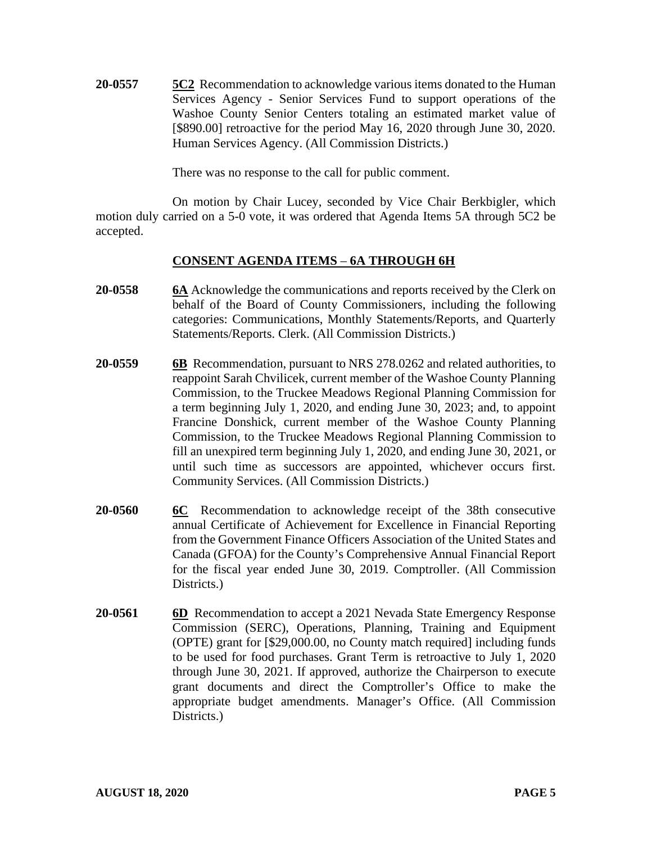**20-0557 5C2** Recommendation to acknowledge various items donated to the Human Services Agency - Senior Services Fund to support operations of the Washoe County Senior Centers totaling an estimated market value of [\$890.00] retroactive for the period May 16, 2020 through June 30, 2020. Human Services Agency. (All Commission Districts.)

There was no response to the call for public comment.

On motion by Chair Lucey, seconded by Vice Chair Berkbigler, which motion duly carried on a 5-0 vote, it was ordered that Agenda Items 5A through 5C2 be accepted.

#### **CONSENT AGENDA ITEMS** – **6A THROUGH 6H**

- **20-0558 6A** Acknowledge the communications and reports received by the Clerk on behalf of the Board of County Commissioners, including the following categories: Communications, Monthly Statements/Reports, and Quarterly Statements/Reports. Clerk. (All Commission Districts.)
- **20-0559 6B** Recommendation, pursuant to NRS 278.0262 and related authorities, to reappoint Sarah Chvilicek, current member of the Washoe County Planning Commission, to the Truckee Meadows Regional Planning Commission for a term beginning July 1, 2020, and ending June 30, 2023; and, to appoint Francine Donshick, current member of the Washoe County Planning Commission, to the Truckee Meadows Regional Planning Commission to fill an unexpired term beginning July 1, 2020, and ending June 30, 2021, or until such time as successors are appointed, whichever occurs first. Community Services. (All Commission Districts.)
- **20-0560 6C** Recommendation to acknowledge receipt of the 38th consecutive annual Certificate of Achievement for Excellence in Financial Reporting from the Government Finance Officers Association of the United States and Canada (GFOA) for the County's Comprehensive Annual Financial Report for the fiscal year ended June 30, 2019. Comptroller. (All Commission Districts.)
- **20-0561 6D** Recommendation to accept a 2021 Nevada State Emergency Response Commission (SERC), Operations, Planning, Training and Equipment (OPTE) grant for [\$29,000.00, no County match required] including funds to be used for food purchases. Grant Term is retroactive to July 1, 2020 through June 30, 2021. If approved, authorize the Chairperson to execute grant documents and direct the Comptroller's Office to make the appropriate budget amendments. Manager's Office. (All Commission Districts.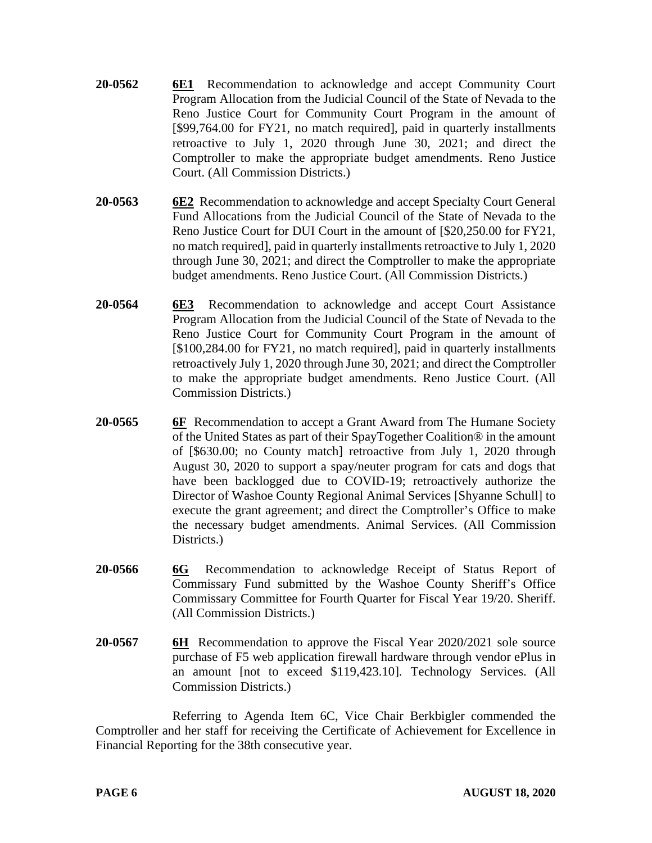- **20-0562 6E1** Recommendation to acknowledge and accept Community Court Program Allocation from the Judicial Council of the State of Nevada to the Reno Justice Court for Community Court Program in the amount of [\$99,764.00 for FY21, no match required], paid in quarterly installments retroactive to July 1, 2020 through June 30, 2021; and direct the Comptroller to make the appropriate budget amendments. Reno Justice Court. (All Commission Districts.)
- **20-0563 6E2** Recommendation to acknowledge and accept Specialty Court General Fund Allocations from the Judicial Council of the State of Nevada to the Reno Justice Court for DUI Court in the amount of [\$20,250.00 for FY21, no match required], paid in quarterly installments retroactive to July 1, 2020 through June 30, 2021; and direct the Comptroller to make the appropriate budget amendments. Reno Justice Court. (All Commission Districts.)
- **20-0564 6E3** Recommendation to acknowledge and accept Court Assistance Program Allocation from the Judicial Council of the State of Nevada to the Reno Justice Court for Community Court Program in the amount of [\$100,284.00 for FY21, no match required], paid in quarterly installments retroactively July 1, 2020 through June 30, 2021; and direct the Comptroller to make the appropriate budget amendments. Reno Justice Court. (All Commission Districts.)
- **20-0565 6F** Recommendation to accept a Grant Award from The Humane Society of the United States as part of their SpayTogether Coalition® in the amount of [\$630.00; no County match] retroactive from July 1, 2020 through August 30, 2020 to support a spay/neuter program for cats and dogs that have been backlogged due to COVID-19; retroactively authorize the Director of Washoe County Regional Animal Services [Shyanne Schull] to execute the grant agreement; and direct the Comptroller's Office to make the necessary budget amendments. Animal Services. (All Commission Districts.)
- **20-0566 6G** Recommendation to acknowledge Receipt of Status Report of Commissary Fund submitted by the Washoe County Sheriff's Office Commissary Committee for Fourth Quarter for Fiscal Year 19/20. Sheriff. (All Commission Districts.)
- **20-0567 6H** Recommendation to approve the Fiscal Year 2020/2021 sole source purchase of F5 web application firewall hardware through vendor ePlus in an amount [not to exceed \$119,423.10]. Technology Services. (All Commission Districts.)

Referring to Agenda Item 6C, Vice Chair Berkbigler commended the Comptroller and her staff for receiving the Certificate of Achievement for Excellence in Financial Reporting for the 38th consecutive year.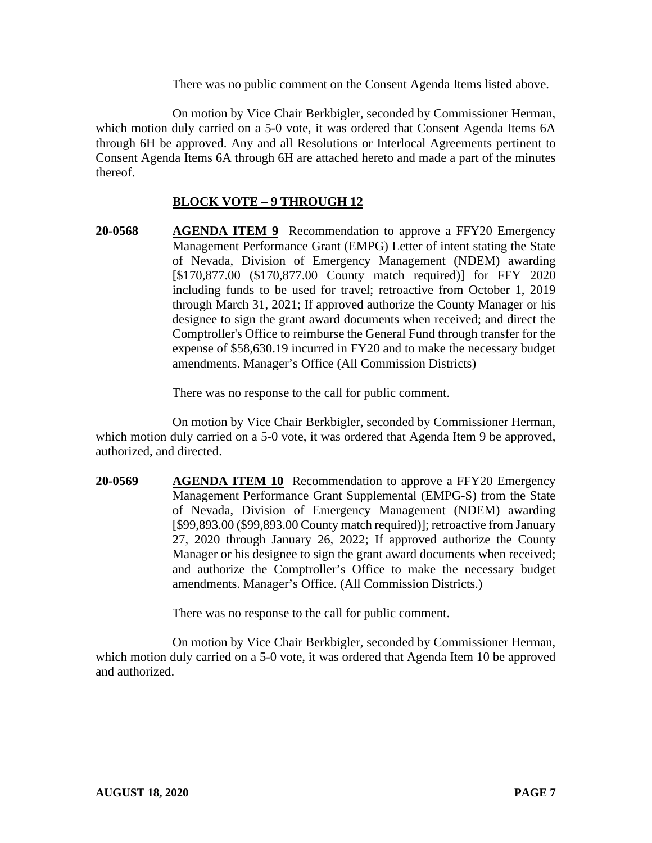There was no public comment on the Consent Agenda Items listed above.

On motion by Vice Chair Berkbigler, seconded by Commissioner Herman, which motion duly carried on a 5-0 vote, it was ordered that Consent Agenda Items 6A through 6H be approved. Any and all Resolutions or Interlocal Agreements pertinent to Consent Agenda Items 6A through 6H are attached hereto and made a part of the minutes thereof.

# **BLOCK VOTE – 9 THROUGH 12**

**20-0568 AGENDA ITEM 9** Recommendation to approve a FFY20 Emergency Management Performance Grant (EMPG) Letter of intent stating the State of Nevada, Division of Emergency Management (NDEM) awarding [\$170,877.00 (\$170,877.00 County match required)] for FFY 2020 including funds to be used for travel; retroactive from October 1, 2019 through March 31, 2021; If approved authorize the County Manager or his designee to sign the grant award documents when received; and direct the Comptroller's Office to reimburse the General Fund through transfer for the expense of \$58,630.19 incurred in FY20 and to make the necessary budget amendments. Manager's Office (All Commission Districts)

There was no response to the call for public comment.

On motion by Vice Chair Berkbigler, seconded by Commissioner Herman, which motion duly carried on a 5-0 vote, it was ordered that Agenda Item 9 be approved, authorized, and directed.

**20-0569 AGENDA ITEM 10** Recommendation to approve a FFY20 Emergency Management Performance Grant Supplemental (EMPG-S) from the State of Nevada, Division of Emergency Management (NDEM) awarding [\$99,893.00 (\$99,893.00 County match required)]; retroactive from January 27, 2020 through January 26, 2022; If approved authorize the County Manager or his designee to sign the grant award documents when received; and authorize the Comptroller's Office to make the necessary budget amendments. Manager's Office. (All Commission Districts.)

There was no response to the call for public comment.

On motion by Vice Chair Berkbigler, seconded by Commissioner Herman, which motion duly carried on a 5-0 vote, it was ordered that Agenda Item 10 be approved and authorized.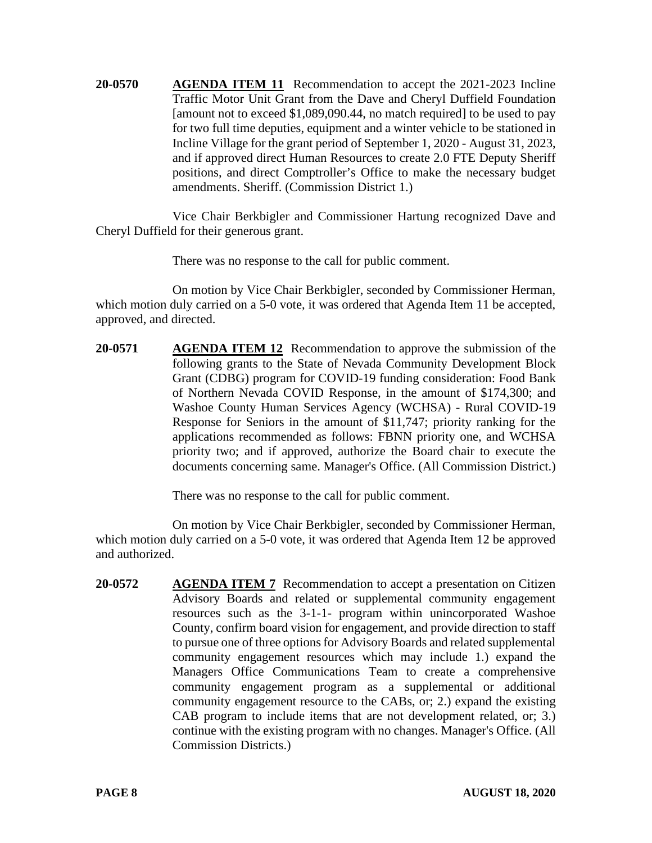**20-0570 AGENDA ITEM 11** Recommendation to accept the 2021-2023 Incline Traffic Motor Unit Grant from the Dave and Cheryl Duffield Foundation [amount not to exceed \$1,089,090.44, no match required] to be used to pay for two full time deputies, equipment and a winter vehicle to be stationed in Incline Village for the grant period of September 1, 2020 - August 31, 2023, and if approved direct Human Resources to create 2.0 FTE Deputy Sheriff positions, and direct Comptroller's Office to make the necessary budget amendments. Sheriff. (Commission District 1.)

Vice Chair Berkbigler and Commissioner Hartung recognized Dave and Cheryl Duffield for their generous grant.

There was no response to the call for public comment.

On motion by Vice Chair Berkbigler, seconded by Commissioner Herman, which motion duly carried on a 5-0 vote, it was ordered that Agenda Item 11 be accepted, approved, and directed.

**20-0571 AGENDA ITEM 12** Recommendation to approve the submission of the following grants to the State of Nevada Community Development Block Grant (CDBG) program for COVID-19 funding consideration: Food Bank of Northern Nevada COVID Response, in the amount of \$174,300; and Washoe County Human Services Agency (WCHSA) - Rural COVID-19 Response for Seniors in the amount of \$11,747; priority ranking for the applications recommended as follows: FBNN priority one, and WCHSA priority two; and if approved, authorize the Board chair to execute the documents concerning same. Manager's Office. (All Commission District.)

There was no response to the call for public comment.

On motion by Vice Chair Berkbigler, seconded by Commissioner Herman, which motion duly carried on a 5-0 vote, it was ordered that Agenda Item 12 be approved and authorized.

**20-0572 AGENDA ITEM 7** Recommendation to accept a presentation on Citizen Advisory Boards and related or supplemental community engagement resources such as the 3-1-1- program within unincorporated Washoe County, confirm board vision for engagement, and provide direction to staff to pursue one of three options for Advisory Boards and related supplemental community engagement resources which may include 1.) expand the Managers Office Communications Team to create a comprehensive community engagement program as a supplemental or additional community engagement resource to the CABs, or; 2.) expand the existing CAB program to include items that are not development related, or; 3.) continue with the existing program with no changes. Manager's Office. (All Commission Districts.)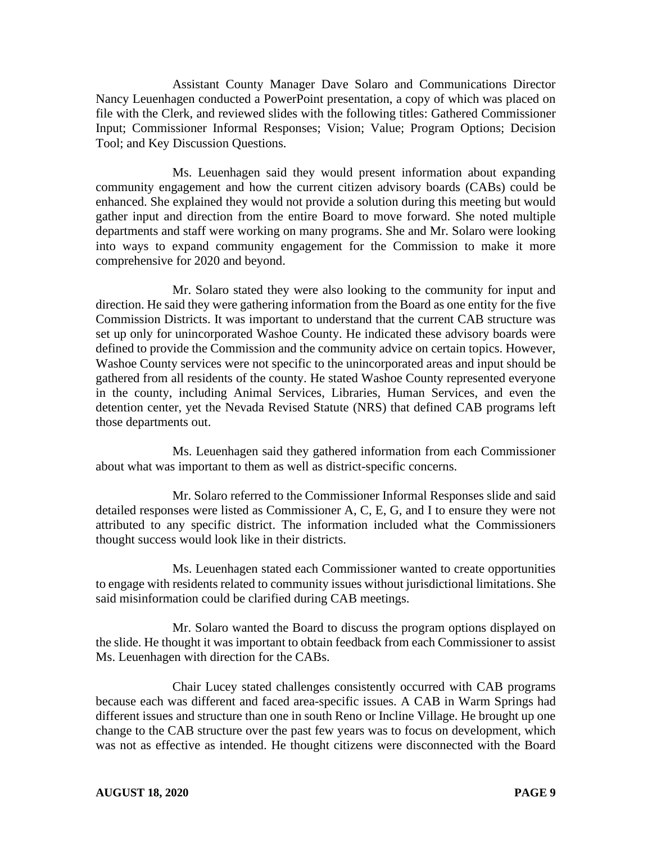Assistant County Manager Dave Solaro and Communications Director Nancy Leuenhagen conducted a PowerPoint presentation, a copy of which was placed on file with the Clerk, and reviewed slides with the following titles: Gathered Commissioner Input; Commissioner Informal Responses; Vision; Value; Program Options; Decision Tool; and Key Discussion Questions.

Ms. Leuenhagen said they would present information about expanding community engagement and how the current citizen advisory boards (CABs) could be enhanced. She explained they would not provide a solution during this meeting but would gather input and direction from the entire Board to move forward. She noted multiple departments and staff were working on many programs. She and Mr. Solaro were looking into ways to expand community engagement for the Commission to make it more comprehensive for 2020 and beyond.

Mr. Solaro stated they were also looking to the community for input and direction. He said they were gathering information from the Board as one entity for the five Commission Districts. It was important to understand that the current CAB structure was set up only for unincorporated Washoe County. He indicated these advisory boards were defined to provide the Commission and the community advice on certain topics. However, Washoe County services were not specific to the unincorporated areas and input should be gathered from all residents of the county. He stated Washoe County represented everyone in the county, including Animal Services, Libraries, Human Services, and even the detention center, yet the Nevada Revised Statute (NRS) that defined CAB programs left those departments out.

Ms. Leuenhagen said they gathered information from each Commissioner about what was important to them as well as district-specific concerns.

Mr. Solaro referred to the Commissioner Informal Responses slide and said detailed responses were listed as Commissioner A, C, E, G, and I to ensure they were not attributed to any specific district. The information included what the Commissioners thought success would look like in their districts.

Ms. Leuenhagen stated each Commissioner wanted to create opportunities to engage with residents related to community issues without jurisdictional limitations. She said misinformation could be clarified during CAB meetings.

Mr. Solaro wanted the Board to discuss the program options displayed on the slide. He thought it was important to obtain feedback from each Commissioner to assist Ms. Leuenhagen with direction for the CABs.

Chair Lucey stated challenges consistently occurred with CAB programs because each was different and faced area-specific issues. A CAB in Warm Springs had different issues and structure than one in south Reno or Incline Village. He brought up one change to the CAB structure over the past few years was to focus on development, which was not as effective as intended. He thought citizens were disconnected with the Board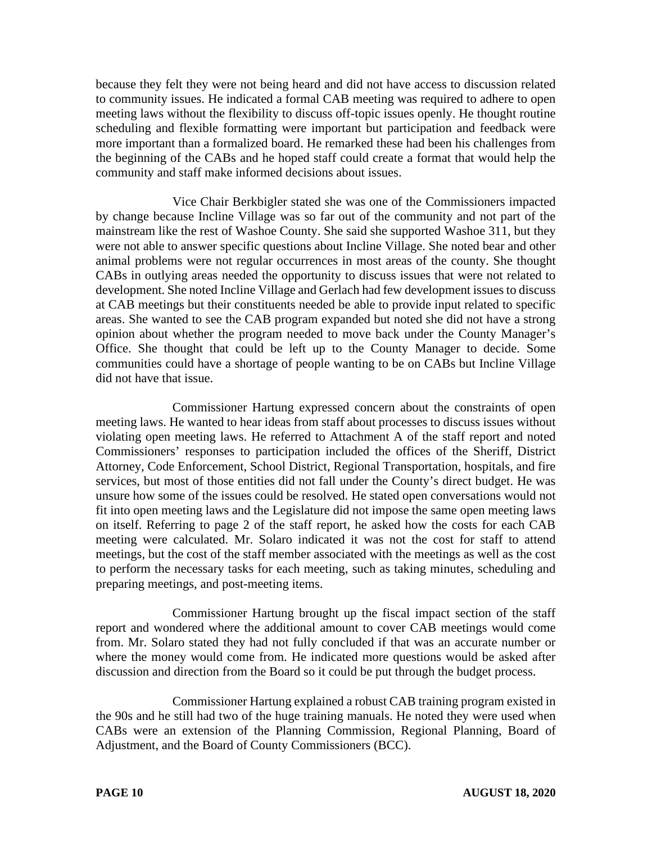because they felt they were not being heard and did not have access to discussion related to community issues. He indicated a formal CAB meeting was required to adhere to open meeting laws without the flexibility to discuss off-topic issues openly. He thought routine scheduling and flexible formatting were important but participation and feedback were more important than a formalized board. He remarked these had been his challenges from the beginning of the CABs and he hoped staff could create a format that would help the community and staff make informed decisions about issues.

Vice Chair Berkbigler stated she was one of the Commissioners impacted by change because Incline Village was so far out of the community and not part of the mainstream like the rest of Washoe County. She said she supported Washoe 311, but they were not able to answer specific questions about Incline Village. She noted bear and other animal problems were not regular occurrences in most areas of the county. She thought CABs in outlying areas needed the opportunity to discuss issues that were not related to development. She noted Incline Village and Gerlach had few development issues to discuss at CAB meetings but their constituents needed be able to provide input related to specific areas. She wanted to see the CAB program expanded but noted she did not have a strong opinion about whether the program needed to move back under the County Manager's Office. She thought that could be left up to the County Manager to decide. Some communities could have a shortage of people wanting to be on CABs but Incline Village did not have that issue.

Commissioner Hartung expressed concern about the constraints of open meeting laws. He wanted to hear ideas from staff about processes to discuss issues without violating open meeting laws. He referred to Attachment A of the staff report and noted Commissioners' responses to participation included the offices of the Sheriff, District Attorney, Code Enforcement, School District, Regional Transportation, hospitals, and fire services, but most of those entities did not fall under the County's direct budget. He was unsure how some of the issues could be resolved. He stated open conversations would not fit into open meeting laws and the Legislature did not impose the same open meeting laws on itself. Referring to page 2 of the staff report, he asked how the costs for each CAB meeting were calculated. Mr. Solaro indicated it was not the cost for staff to attend meetings, but the cost of the staff member associated with the meetings as well as the cost to perform the necessary tasks for each meeting, such as taking minutes, scheduling and preparing meetings, and post-meeting items.

Commissioner Hartung brought up the fiscal impact section of the staff report and wondered where the additional amount to cover CAB meetings would come from. Mr. Solaro stated they had not fully concluded if that was an accurate number or where the money would come from. He indicated more questions would be asked after discussion and direction from the Board so it could be put through the budget process.

Commissioner Hartung explained a robust CAB training program existed in the 90s and he still had two of the huge training manuals. He noted they were used when CABs were an extension of the Planning Commission, Regional Planning, Board of Adjustment, and the Board of County Commissioners (BCC).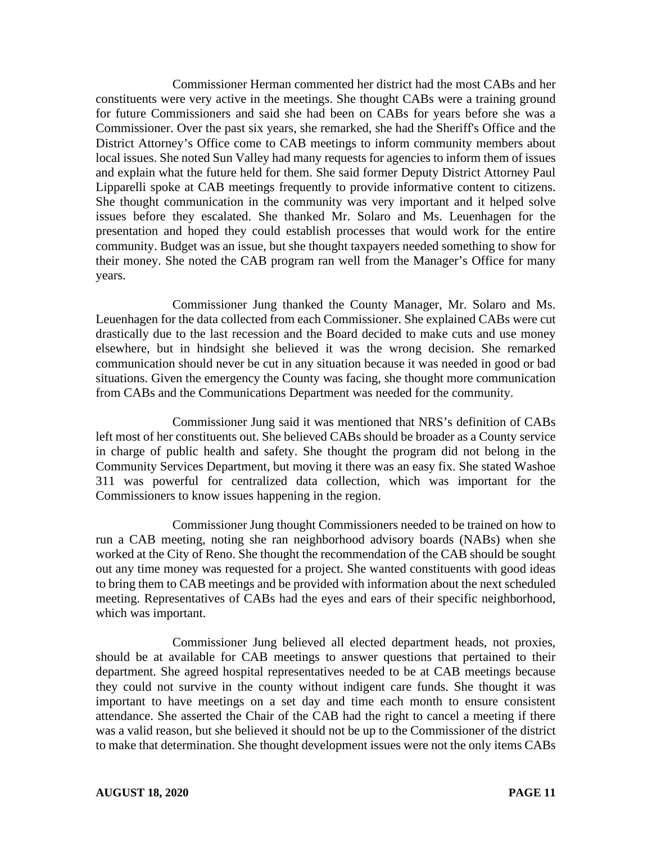Commissioner Herman commented her district had the most CABs and her constituents were very active in the meetings. She thought CABs were a training ground for future Commissioners and said she had been on CABs for years before she was a Commissioner. Over the past six years, she remarked, she had the Sheriff's Office and the District Attorney's Office come to CAB meetings to inform community members about local issues. She noted Sun Valley had many requests for agencies to inform them of issues and explain what the future held for them. She said former Deputy District Attorney Paul Lipparelli spoke at CAB meetings frequently to provide informative content to citizens. She thought communication in the community was very important and it helped solve issues before they escalated. She thanked Mr. Solaro and Ms. Leuenhagen for the presentation and hoped they could establish processes that would work for the entire community. Budget was an issue, but she thought taxpayers needed something to show for their money. She noted the CAB program ran well from the Manager's Office for many years.

Commissioner Jung thanked the County Manager, Mr. Solaro and Ms. Leuenhagen for the data collected from each Commissioner. She explained CABs were cut drastically due to the last recession and the Board decided to make cuts and use money elsewhere, but in hindsight she believed it was the wrong decision. She remarked communication should never be cut in any situation because it was needed in good or bad situations. Given the emergency the County was facing, she thought more communication from CABs and the Communications Department was needed for the community.

Commissioner Jung said it was mentioned that NRS's definition of CABs left most of her constituents out. She believed CABs should be broader as a County service in charge of public health and safety. She thought the program did not belong in the Community Services Department, but moving it there was an easy fix. She stated Washoe 311 was powerful for centralized data collection, which was important for the Commissioners to know issues happening in the region.

Commissioner Jung thought Commissioners needed to be trained on how to run a CAB meeting, noting she ran neighborhood advisory boards (NABs) when she worked at the City of Reno. She thought the recommendation of the CAB should be sought out any time money was requested for a project. She wanted constituents with good ideas to bring them to CAB meetings and be provided with information about the next scheduled meeting. Representatives of CABs had the eyes and ears of their specific neighborhood, which was important.

Commissioner Jung believed all elected department heads, not proxies, should be at available for CAB meetings to answer questions that pertained to their department. She agreed hospital representatives needed to be at CAB meetings because they could not survive in the county without indigent care funds. She thought it was important to have meetings on a set day and time each month to ensure consistent attendance. She asserted the Chair of the CAB had the right to cancel a meeting if there was a valid reason, but she believed it should not be up to the Commissioner of the district to make that determination. She thought development issues were not the only items CABs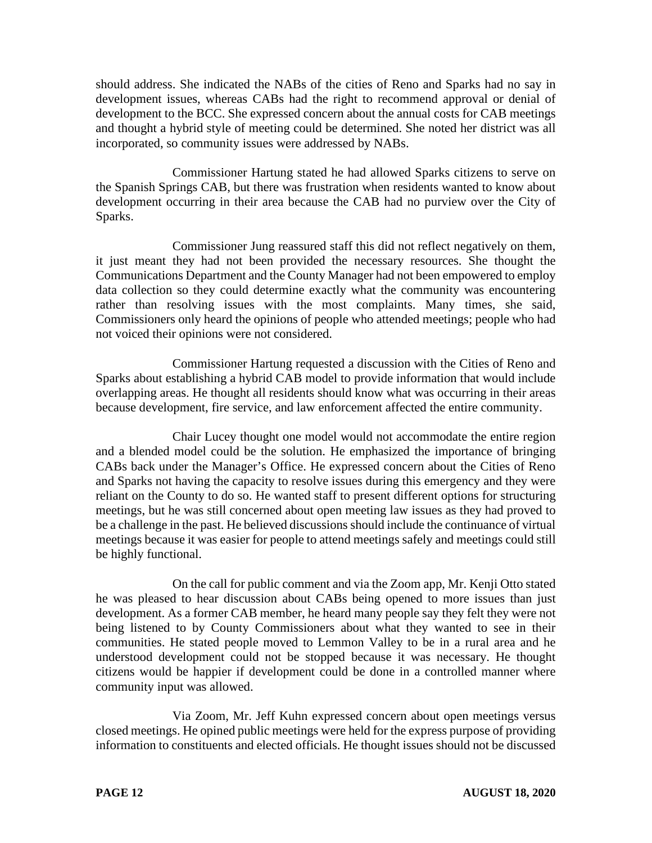should address. She indicated the NABs of the cities of Reno and Sparks had no say in development issues, whereas CABs had the right to recommend approval or denial of development to the BCC. She expressed concern about the annual costs for CAB meetings and thought a hybrid style of meeting could be determined. She noted her district was all incorporated, so community issues were addressed by NABs.

Commissioner Hartung stated he had allowed Sparks citizens to serve on the Spanish Springs CAB, but there was frustration when residents wanted to know about development occurring in their area because the CAB had no purview over the City of Sparks.

Commissioner Jung reassured staff this did not reflect negatively on them, it just meant they had not been provided the necessary resources. She thought the Communications Department and the County Manager had not been empowered to employ data collection so they could determine exactly what the community was encountering rather than resolving issues with the most complaints. Many times, she said, Commissioners only heard the opinions of people who attended meetings; people who had not voiced their opinions were not considered.

Commissioner Hartung requested a discussion with the Cities of Reno and Sparks about establishing a hybrid CAB model to provide information that would include overlapping areas. He thought all residents should know what was occurring in their areas because development, fire service, and law enforcement affected the entire community.

Chair Lucey thought one model would not accommodate the entire region and a blended model could be the solution. He emphasized the importance of bringing CABs back under the Manager's Office. He expressed concern about the Cities of Reno and Sparks not having the capacity to resolve issues during this emergency and they were reliant on the County to do so. He wanted staff to present different options for structuring meetings, but he was still concerned about open meeting law issues as they had proved to be a challenge in the past. He believed discussions should include the continuance of virtual meetings because it was easier for people to attend meetings safely and meetings could still be highly functional.

On the call for public comment and via the Zoom app, Mr. Kenji Otto stated he was pleased to hear discussion about CABs being opened to more issues than just development. As a former CAB member, he heard many people say they felt they were not being listened to by County Commissioners about what they wanted to see in their communities. He stated people moved to Lemmon Valley to be in a rural area and he understood development could not be stopped because it was necessary. He thought citizens would be happier if development could be done in a controlled manner where community input was allowed.

Via Zoom, Mr. Jeff Kuhn expressed concern about open meetings versus closed meetings. He opined public meetings were held for the express purpose of providing information to constituents and elected officials. He thought issues should not be discussed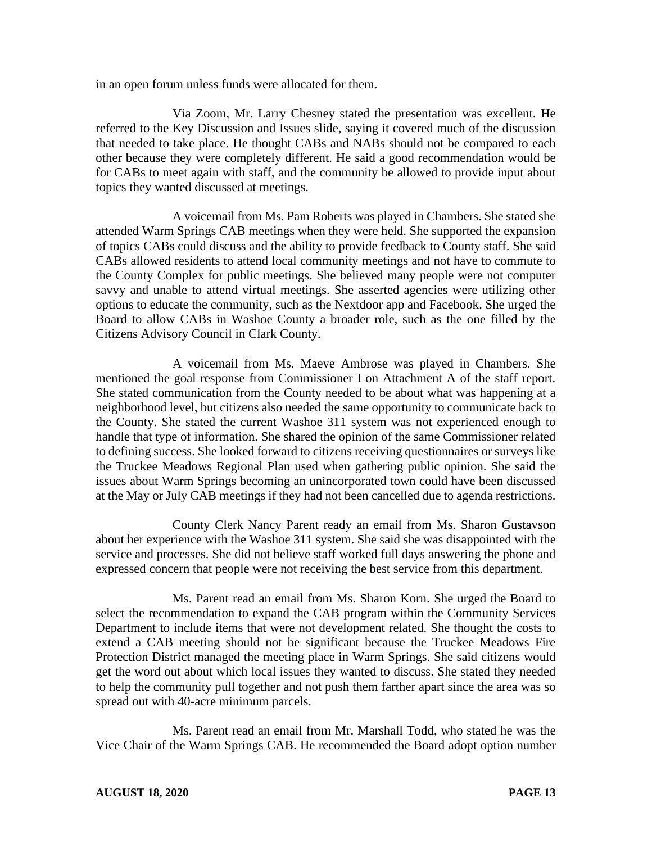in an open forum unless funds were allocated for them.

Via Zoom, Mr. Larry Chesney stated the presentation was excellent. He referred to the Key Discussion and Issues slide, saying it covered much of the discussion that needed to take place. He thought CABs and NABs should not be compared to each other because they were completely different. He said a good recommendation would be for CABs to meet again with staff, and the community be allowed to provide input about topics they wanted discussed at meetings.

A voicemail from Ms. Pam Roberts was played in Chambers. She stated she attended Warm Springs CAB meetings when they were held. She supported the expansion of topics CABs could discuss and the ability to provide feedback to County staff. She said CABs allowed residents to attend local community meetings and not have to commute to the County Complex for public meetings. She believed many people were not computer savvy and unable to attend virtual meetings. She asserted agencies were utilizing other options to educate the community, such as the Nextdoor app and Facebook. She urged the Board to allow CABs in Washoe County a broader role, such as the one filled by the Citizens Advisory Council in Clark County.

A voicemail from Ms. Maeve Ambrose was played in Chambers. She mentioned the goal response from Commissioner I on Attachment A of the staff report. She stated communication from the County needed to be about what was happening at a neighborhood level, but citizens also needed the same opportunity to communicate back to the County. She stated the current Washoe 311 system was not experienced enough to handle that type of information. She shared the opinion of the same Commissioner related to defining success. She looked forward to citizens receiving questionnaires or surveys like the Truckee Meadows Regional Plan used when gathering public opinion. She said the issues about Warm Springs becoming an unincorporated town could have been discussed at the May or July CAB meetings if they had not been cancelled due to agenda restrictions.

County Clerk Nancy Parent ready an email from Ms. Sharon Gustavson about her experience with the Washoe 311 system. She said she was disappointed with the service and processes. She did not believe staff worked full days answering the phone and expressed concern that people were not receiving the best service from this department.

Ms. Parent read an email from Ms. Sharon Korn. She urged the Board to select the recommendation to expand the CAB program within the Community Services Department to include items that were not development related. She thought the costs to extend a CAB meeting should not be significant because the Truckee Meadows Fire Protection District managed the meeting place in Warm Springs. She said citizens would get the word out about which local issues they wanted to discuss. She stated they needed to help the community pull together and not push them farther apart since the area was so spread out with 40-acre minimum parcels.

Ms. Parent read an email from Mr. Marshall Todd, who stated he was the Vice Chair of the Warm Springs CAB. He recommended the Board adopt option number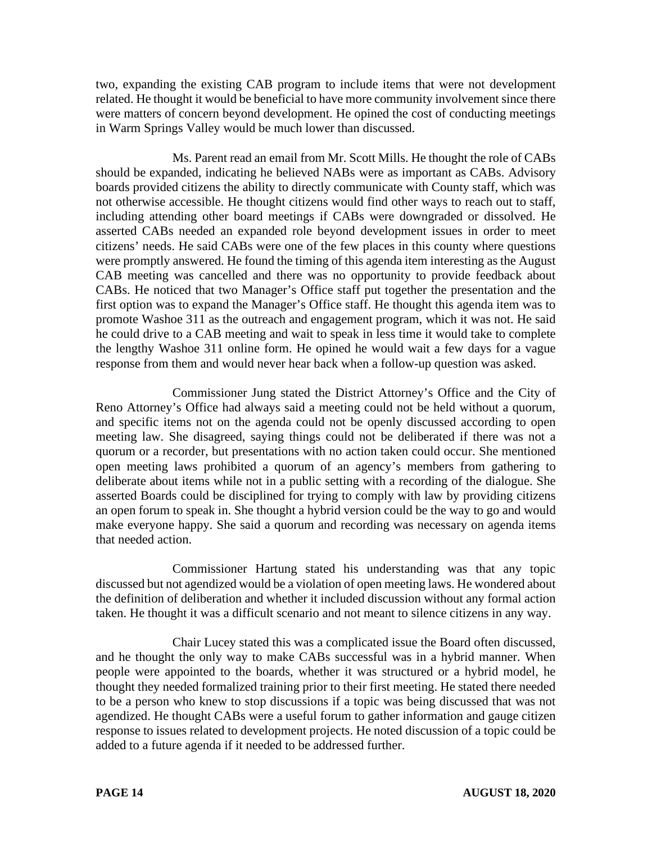two, expanding the existing CAB program to include items that were not development related. He thought it would be beneficial to have more community involvement since there were matters of concern beyond development. He opined the cost of conducting meetings in Warm Springs Valley would be much lower than discussed.

Ms. Parent read an email from Mr. Scott Mills. He thought the role of CABs should be expanded, indicating he believed NABs were as important as CABs. Advisory boards provided citizens the ability to directly communicate with County staff, which was not otherwise accessible. He thought citizens would find other ways to reach out to staff, including attending other board meetings if CABs were downgraded or dissolved. He asserted CABs needed an expanded role beyond development issues in order to meet citizens' needs. He said CABs were one of the few places in this county where questions were promptly answered. He found the timing of this agenda item interesting as the August CAB meeting was cancelled and there was no opportunity to provide feedback about CABs. He noticed that two Manager's Office staff put together the presentation and the first option was to expand the Manager's Office staff. He thought this agenda item was to promote Washoe 311 as the outreach and engagement program, which it was not. He said he could drive to a CAB meeting and wait to speak in less time it would take to complete the lengthy Washoe 311 online form. He opined he would wait a few days for a vague response from them and would never hear back when a follow-up question was asked.

Commissioner Jung stated the District Attorney's Office and the City of Reno Attorney's Office had always said a meeting could not be held without a quorum, and specific items not on the agenda could not be openly discussed according to open meeting law. She disagreed, saying things could not be deliberated if there was not a quorum or a recorder, but presentations with no action taken could occur. She mentioned open meeting laws prohibited a quorum of an agency's members from gathering to deliberate about items while not in a public setting with a recording of the dialogue. She asserted Boards could be disciplined for trying to comply with law by providing citizens an open forum to speak in. She thought a hybrid version could be the way to go and would make everyone happy. She said a quorum and recording was necessary on agenda items that needed action.

Commissioner Hartung stated his understanding was that any topic discussed but not agendized would be a violation of open meeting laws. He wondered about the definition of deliberation and whether it included discussion without any formal action taken. He thought it was a difficult scenario and not meant to silence citizens in any way.

Chair Lucey stated this was a complicated issue the Board often discussed, and he thought the only way to make CABs successful was in a hybrid manner. When people were appointed to the boards, whether it was structured or a hybrid model, he thought they needed formalized training prior to their first meeting. He stated there needed to be a person who knew to stop discussions if a topic was being discussed that was not agendized. He thought CABs were a useful forum to gather information and gauge citizen response to issues related to development projects. He noted discussion of a topic could be added to a future agenda if it needed to be addressed further.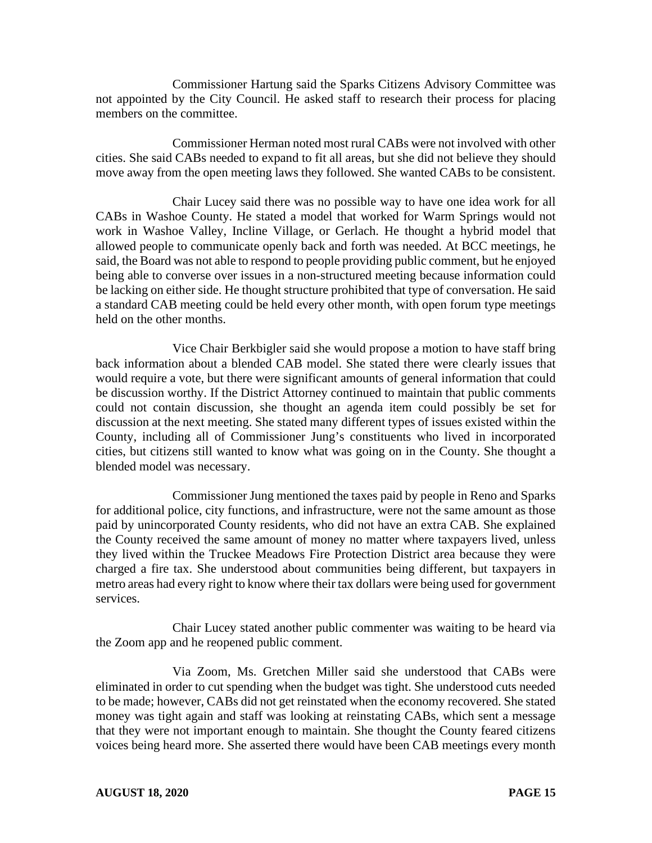Commissioner Hartung said the Sparks Citizens Advisory Committee was not appointed by the City Council. He asked staff to research their process for placing members on the committee.

Commissioner Herman noted most rural CABs were not involved with other cities. She said CABs needed to expand to fit all areas, but she did not believe they should move away from the open meeting laws they followed. She wanted CABs to be consistent.

Chair Lucey said there was no possible way to have one idea work for all CABs in Washoe County. He stated a model that worked for Warm Springs would not work in Washoe Valley, Incline Village, or Gerlach. He thought a hybrid model that allowed people to communicate openly back and forth was needed. At BCC meetings, he said, the Board was not able to respond to people providing public comment, but he enjoyed being able to converse over issues in a non-structured meeting because information could be lacking on either side. He thought structure prohibited that type of conversation. He said a standard CAB meeting could be held every other month, with open forum type meetings held on the other months.

Vice Chair Berkbigler said she would propose a motion to have staff bring back information about a blended CAB model. She stated there were clearly issues that would require a vote, but there were significant amounts of general information that could be discussion worthy. If the District Attorney continued to maintain that public comments could not contain discussion, she thought an agenda item could possibly be set for discussion at the next meeting. She stated many different types of issues existed within the County, including all of Commissioner Jung's constituents who lived in incorporated cities, but citizens still wanted to know what was going on in the County. She thought a blended model was necessary.

Commissioner Jung mentioned the taxes paid by people in Reno and Sparks for additional police, city functions, and infrastructure, were not the same amount as those paid by unincorporated County residents, who did not have an extra CAB. She explained the County received the same amount of money no matter where taxpayers lived, unless they lived within the Truckee Meadows Fire Protection District area because they were charged a fire tax. She understood about communities being different, but taxpayers in metro areas had every right to know where their tax dollars were being used for government services.

Chair Lucey stated another public commenter was waiting to be heard via the Zoom app and he reopened public comment.

Via Zoom, Ms. Gretchen Miller said she understood that CABs were eliminated in order to cut spending when the budget was tight. She understood cuts needed to be made; however, CABs did not get reinstated when the economy recovered. She stated money was tight again and staff was looking at reinstating CABs, which sent a message that they were not important enough to maintain. She thought the County feared citizens voices being heard more. She asserted there would have been CAB meetings every month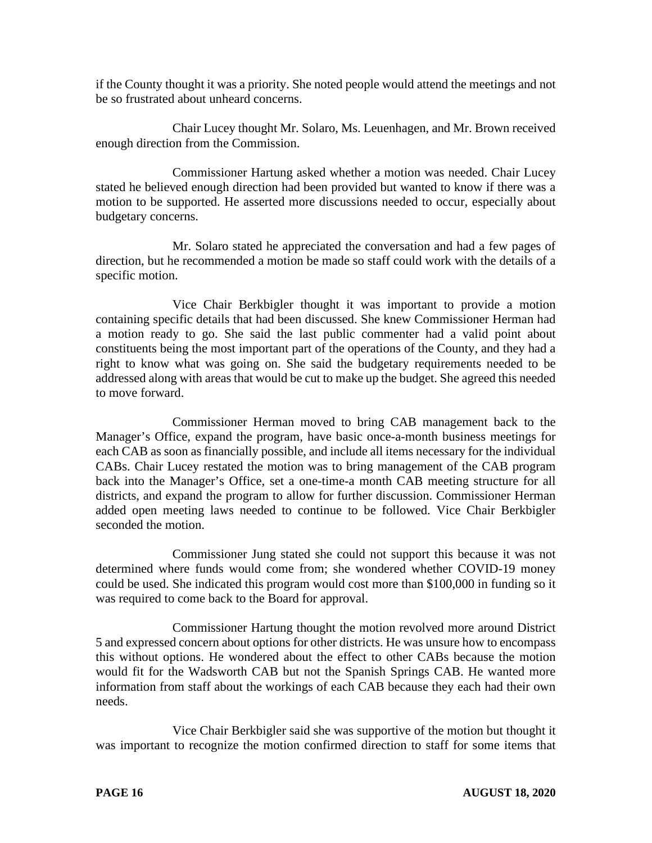if the County thought it was a priority. She noted people would attend the meetings and not be so frustrated about unheard concerns.

Chair Lucey thought Mr. Solaro, Ms. Leuenhagen, and Mr. Brown received enough direction from the Commission.

Commissioner Hartung asked whether a motion was needed. Chair Lucey stated he believed enough direction had been provided but wanted to know if there was a motion to be supported. He asserted more discussions needed to occur, especially about budgetary concerns.

Mr. Solaro stated he appreciated the conversation and had a few pages of direction, but he recommended a motion be made so staff could work with the details of a specific motion.

Vice Chair Berkbigler thought it was important to provide a motion containing specific details that had been discussed. She knew Commissioner Herman had a motion ready to go. She said the last public commenter had a valid point about constituents being the most important part of the operations of the County, and they had a right to know what was going on. She said the budgetary requirements needed to be addressed along with areas that would be cut to make up the budget. She agreed this needed to move forward.

Commissioner Herman moved to bring CAB management back to the Manager's Office, expand the program, have basic once-a-month business meetings for each CAB as soon as financially possible, and include all items necessary for the individual CABs. Chair Lucey restated the motion was to bring management of the CAB program back into the Manager's Office, set a one-time-a month CAB meeting structure for all districts, and expand the program to allow for further discussion. Commissioner Herman added open meeting laws needed to continue to be followed. Vice Chair Berkbigler seconded the motion.

Commissioner Jung stated she could not support this because it was not determined where funds would come from; she wondered whether COVID-19 money could be used. She indicated this program would cost more than \$100,000 in funding so it was required to come back to the Board for approval.

Commissioner Hartung thought the motion revolved more around District 5 and expressed concern about options for other districts. He was unsure how to encompass this without options. He wondered about the effect to other CABs because the motion would fit for the Wadsworth CAB but not the Spanish Springs CAB. He wanted more information from staff about the workings of each CAB because they each had their own needs.

Vice Chair Berkbigler said she was supportive of the motion but thought it was important to recognize the motion confirmed direction to staff for some items that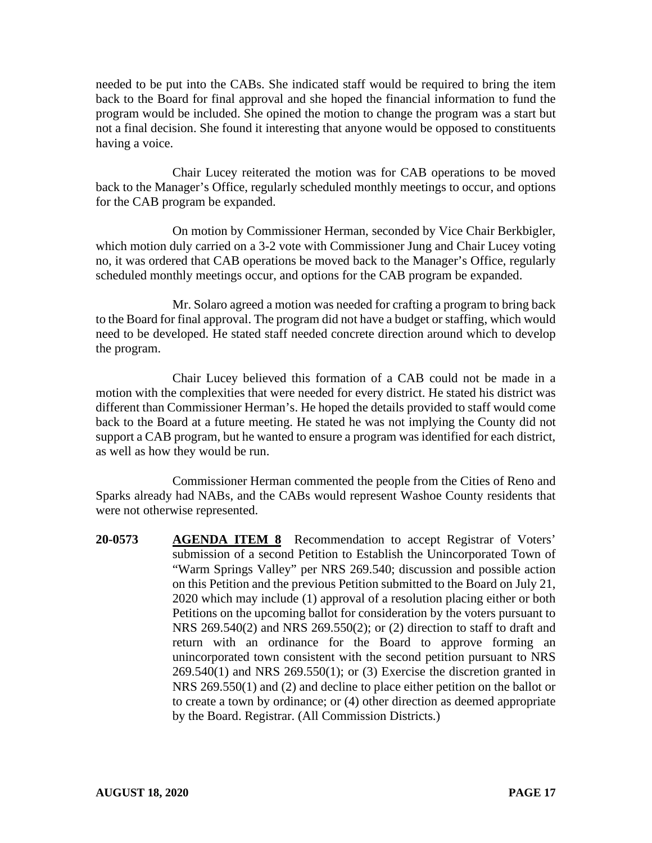needed to be put into the CABs. She indicated staff would be required to bring the item back to the Board for final approval and she hoped the financial information to fund the program would be included. She opined the motion to change the program was a start but not a final decision. She found it interesting that anyone would be opposed to constituents having a voice.

Chair Lucey reiterated the motion was for CAB operations to be moved back to the Manager's Office, regularly scheduled monthly meetings to occur, and options for the CAB program be expanded.

On motion by Commissioner Herman, seconded by Vice Chair Berkbigler, which motion duly carried on a 3-2 vote with Commissioner Jung and Chair Lucey voting no, it was ordered that CAB operations be moved back to the Manager's Office, regularly scheduled monthly meetings occur, and options for the CAB program be expanded.

Mr. Solaro agreed a motion was needed for crafting a program to bring back to the Board for final approval. The program did not have a budget or staffing, which would need to be developed. He stated staff needed concrete direction around which to develop the program.

Chair Lucey believed this formation of a CAB could not be made in a motion with the complexities that were needed for every district. He stated his district was different than Commissioner Herman's. He hoped the details provided to staff would come back to the Board at a future meeting. He stated he was not implying the County did not support a CAB program, but he wanted to ensure a program was identified for each district, as well as how they would be run.

Commissioner Herman commented the people from the Cities of Reno and Sparks already had NABs, and the CABs would represent Washoe County residents that were not otherwise represented.

**20-0573 AGENDA ITEM 8** Recommendation to accept Registrar of Voters' submission of a second Petition to Establish the Unincorporated Town of "Warm Springs Valley" per NRS 269.540; discussion and possible action on this Petition and the previous Petition submitted to the Board on July 21, 2020 which may include (1) approval of a resolution placing either or both Petitions on the upcoming ballot for consideration by the voters pursuant to NRS 269.540(2) and NRS 269.550(2); or (2) direction to staff to draft and return with an ordinance for the Board to approve forming an unincorporated town consistent with the second petition pursuant to NRS 269.540(1) and NRS 269.550(1); or (3) Exercise the discretion granted in NRS 269.550(1) and (2) and decline to place either petition on the ballot or to create a town by ordinance; or (4) other direction as deemed appropriate by the Board. Registrar. (All Commission Districts.)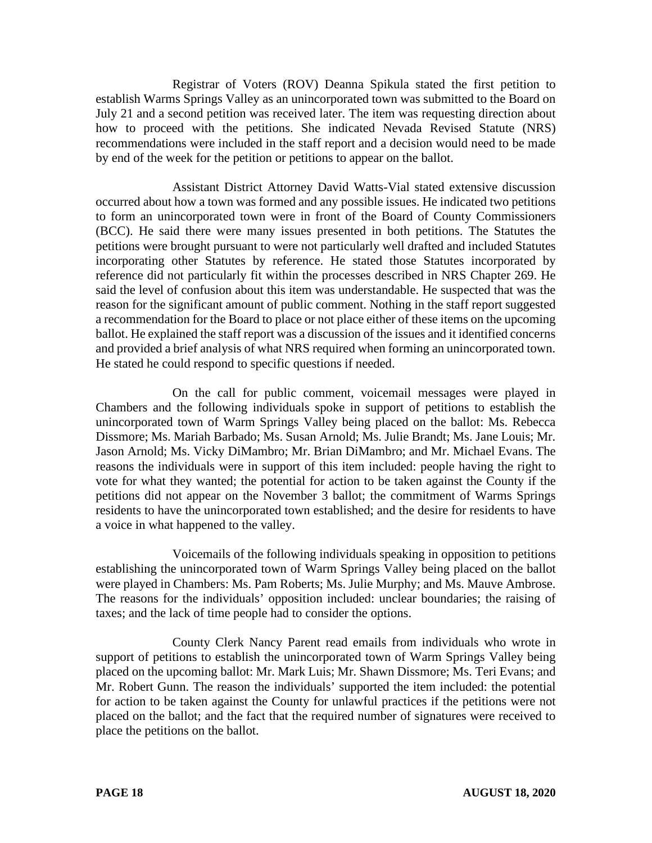Registrar of Voters (ROV) Deanna Spikula stated the first petition to establish Warms Springs Valley as an unincorporated town was submitted to the Board on July 21 and a second petition was received later. The item was requesting direction about how to proceed with the petitions. She indicated Nevada Revised Statute (NRS) recommendations were included in the staff report and a decision would need to be made by end of the week for the petition or petitions to appear on the ballot.

Assistant District Attorney David Watts-Vial stated extensive discussion occurred about how a town was formed and any possible issues. He indicated two petitions to form an unincorporated town were in front of the Board of County Commissioners (BCC). He said there were many issues presented in both petitions. The Statutes the petitions were brought pursuant to were not particularly well drafted and included Statutes incorporating other Statutes by reference. He stated those Statutes incorporated by reference did not particularly fit within the processes described in NRS Chapter 269. He said the level of confusion about this item was understandable. He suspected that was the reason for the significant amount of public comment. Nothing in the staff report suggested a recommendation for the Board to place or not place either of these items on the upcoming ballot. He explained the staff report was a discussion of the issues and it identified concerns and provided a brief analysis of what NRS required when forming an unincorporated town. He stated he could respond to specific questions if needed.

On the call for public comment, voicemail messages were played in Chambers and the following individuals spoke in support of petitions to establish the unincorporated town of Warm Springs Valley being placed on the ballot: Ms. Rebecca Dissmore; Ms. Mariah Barbado; Ms. Susan Arnold; Ms. Julie Brandt; Ms. Jane Louis; Mr. Jason Arnold; Ms. Vicky DiMambro; Mr. Brian DiMambro; and Mr. Michael Evans. The reasons the individuals were in support of this item included: people having the right to vote for what they wanted; the potential for action to be taken against the County if the petitions did not appear on the November 3 ballot; the commitment of Warms Springs residents to have the unincorporated town established; and the desire for residents to have a voice in what happened to the valley.

Voicemails of the following individuals speaking in opposition to petitions establishing the unincorporated town of Warm Springs Valley being placed on the ballot were played in Chambers: Ms. Pam Roberts; Ms. Julie Murphy; and Ms. Mauve Ambrose. The reasons for the individuals' opposition included: unclear boundaries; the raising of taxes; and the lack of time people had to consider the options.

County Clerk Nancy Parent read emails from individuals who wrote in support of petitions to establish the unincorporated town of Warm Springs Valley being placed on the upcoming ballot: Mr. Mark Luis; Mr. Shawn Dissmore; Ms. Teri Evans; and Mr. Robert Gunn. The reason the individuals' supported the item included: the potential for action to be taken against the County for unlawful practices if the petitions were not placed on the ballot; and the fact that the required number of signatures were received to place the petitions on the ballot.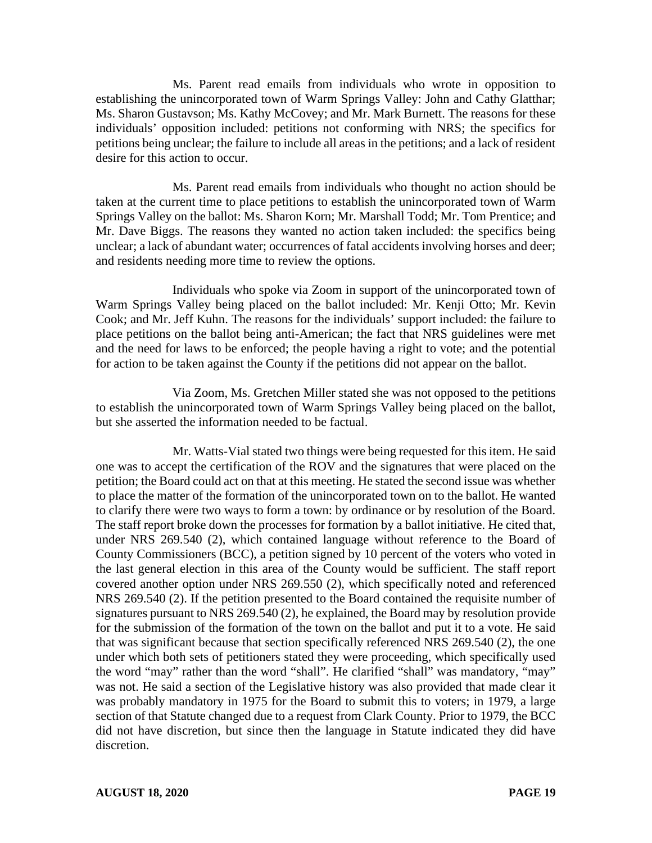Ms. Parent read emails from individuals who wrote in opposition to establishing the unincorporated town of Warm Springs Valley: John and Cathy Glatthar; Ms. Sharon Gustavson; Ms. Kathy McCovey; and Mr. Mark Burnett. The reasons for these individuals' opposition included: petitions not conforming with NRS; the specifics for petitions being unclear; the failure to include all areas in the petitions; and a lack of resident desire for this action to occur.

Ms. Parent read emails from individuals who thought no action should be taken at the current time to place petitions to establish the unincorporated town of Warm Springs Valley on the ballot: Ms. Sharon Korn; Mr. Marshall Todd; Mr. Tom Prentice; and Mr. Dave Biggs. The reasons they wanted no action taken included: the specifics being unclear; a lack of abundant water; occurrences of fatal accidents involving horses and deer; and residents needing more time to review the options.

Individuals who spoke via Zoom in support of the unincorporated town of Warm Springs Valley being placed on the ballot included: Mr. Kenji Otto; Mr. Kevin Cook; and Mr. Jeff Kuhn. The reasons for the individuals' support included: the failure to place petitions on the ballot being anti-American; the fact that NRS guidelines were met and the need for laws to be enforced; the people having a right to vote; and the potential for action to be taken against the County if the petitions did not appear on the ballot.

Via Zoom, Ms. Gretchen Miller stated she was not opposed to the petitions to establish the unincorporated town of Warm Springs Valley being placed on the ballot, but she asserted the information needed to be factual.

Mr. Watts-Vial stated two things were being requested for this item. He said one was to accept the certification of the ROV and the signatures that were placed on the petition; the Board could act on that at this meeting. He stated the second issue was whether to place the matter of the formation of the unincorporated town on to the ballot. He wanted to clarify there were two ways to form a town: by ordinance or by resolution of the Board. The staff report broke down the processes for formation by a ballot initiative. He cited that, under NRS 269.540 (2), which contained language without reference to the Board of County Commissioners (BCC), a petition signed by 10 percent of the voters who voted in the last general election in this area of the County would be sufficient. The staff report covered another option under NRS 269.550 (2), which specifically noted and referenced NRS 269.540 (2). If the petition presented to the Board contained the requisite number of signatures pursuant to NRS 269.540 (2), he explained, the Board may by resolution provide for the submission of the formation of the town on the ballot and put it to a vote. He said that was significant because that section specifically referenced NRS 269.540 (2), the one under which both sets of petitioners stated they were proceeding, which specifically used the word "may" rather than the word "shall". He clarified "shall" was mandatory, "may" was not. He said a section of the Legislative history was also provided that made clear it was probably mandatory in 1975 for the Board to submit this to voters; in 1979, a large section of that Statute changed due to a request from Clark County. Prior to 1979, the BCC did not have discretion, but since then the language in Statute indicated they did have discretion.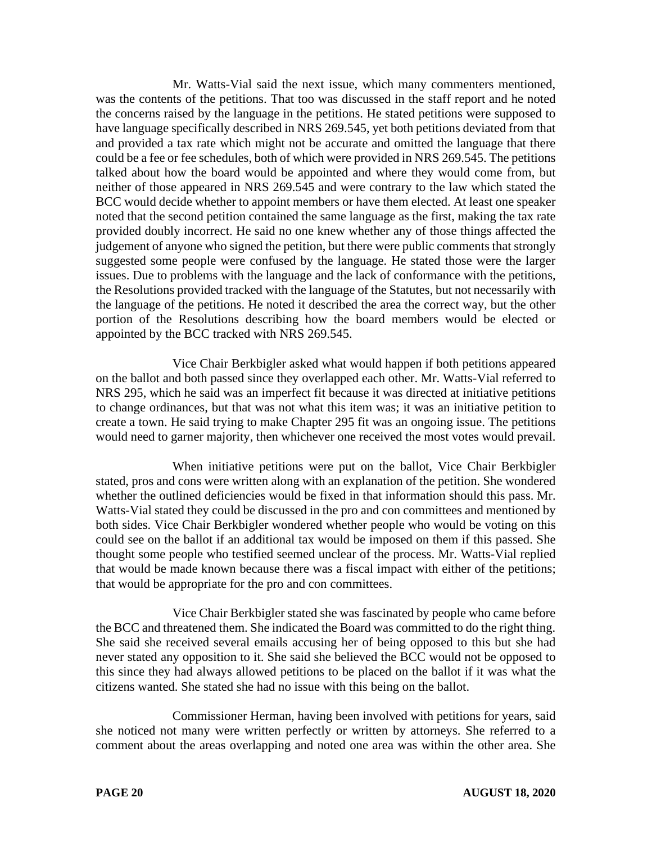Mr. Watts-Vial said the next issue, which many commenters mentioned, was the contents of the petitions. That too was discussed in the staff report and he noted the concerns raised by the language in the petitions. He stated petitions were supposed to have language specifically described in NRS 269.545, yet both petitions deviated from that and provided a tax rate which might not be accurate and omitted the language that there could be a fee or fee schedules, both of which were provided in NRS 269.545. The petitions talked about how the board would be appointed and where they would come from, but neither of those appeared in NRS 269.545 and were contrary to the law which stated the BCC would decide whether to appoint members or have them elected. At least one speaker noted that the second petition contained the same language as the first, making the tax rate provided doubly incorrect. He said no one knew whether any of those things affected the judgement of anyone who signed the petition, but there were public comments that strongly suggested some people were confused by the language. He stated those were the larger issues. Due to problems with the language and the lack of conformance with the petitions, the Resolutions provided tracked with the language of the Statutes, but not necessarily with the language of the petitions. He noted it described the area the correct way, but the other portion of the Resolutions describing how the board members would be elected or appointed by the BCC tracked with NRS 269.545.

Vice Chair Berkbigler asked what would happen if both petitions appeared on the ballot and both passed since they overlapped each other. Mr. Watts-Vial referred to NRS 295, which he said was an imperfect fit because it was directed at initiative petitions to change ordinances, but that was not what this item was; it was an initiative petition to create a town. He said trying to make Chapter 295 fit was an ongoing issue. The petitions would need to garner majority, then whichever one received the most votes would prevail.

When initiative petitions were put on the ballot, Vice Chair Berkbigler stated, pros and cons were written along with an explanation of the petition. She wondered whether the outlined deficiencies would be fixed in that information should this pass. Mr. Watts-Vial stated they could be discussed in the pro and con committees and mentioned by both sides. Vice Chair Berkbigler wondered whether people who would be voting on this could see on the ballot if an additional tax would be imposed on them if this passed. She thought some people who testified seemed unclear of the process. Mr. Watts-Vial replied that would be made known because there was a fiscal impact with either of the petitions; that would be appropriate for the pro and con committees.

Vice Chair Berkbigler stated she was fascinated by people who came before the BCC and threatened them. She indicated the Board was committed to do the right thing. She said she received several emails accusing her of being opposed to this but she had never stated any opposition to it. She said she believed the BCC would not be opposed to this since they had always allowed petitions to be placed on the ballot if it was what the citizens wanted. She stated she had no issue with this being on the ballot.

Commissioner Herman, having been involved with petitions for years, said she noticed not many were written perfectly or written by attorneys. She referred to a comment about the areas overlapping and noted one area was within the other area. She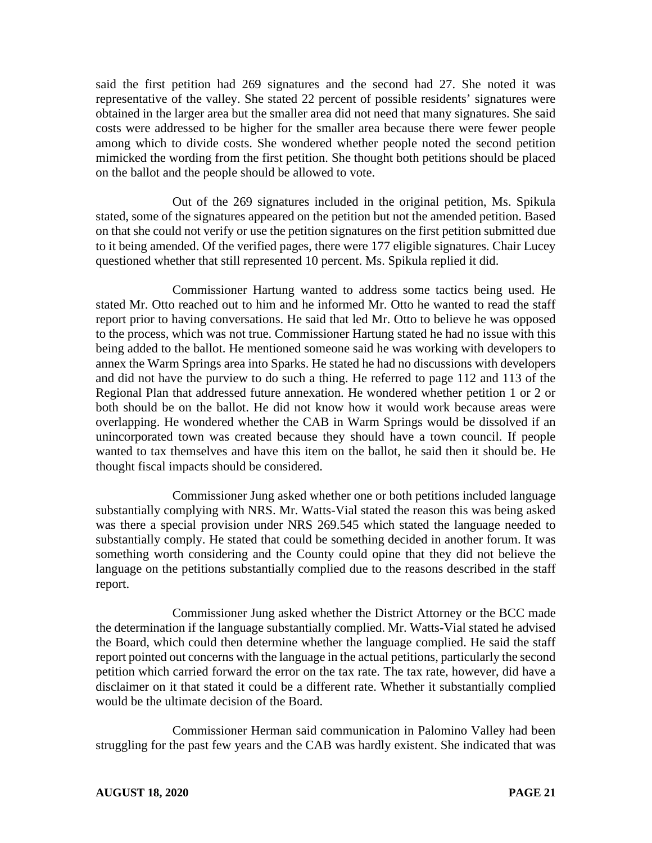said the first petition had 269 signatures and the second had 27. She noted it was representative of the valley. She stated 22 percent of possible residents' signatures were obtained in the larger area but the smaller area did not need that many signatures. She said costs were addressed to be higher for the smaller area because there were fewer people among which to divide costs. She wondered whether people noted the second petition mimicked the wording from the first petition. She thought both petitions should be placed on the ballot and the people should be allowed to vote.

Out of the 269 signatures included in the original petition, Ms. Spikula stated, some of the signatures appeared on the petition but not the amended petition. Based on that she could not verify or use the petition signatures on the first petition submitted due to it being amended. Of the verified pages, there were 177 eligible signatures. Chair Lucey questioned whether that still represented 10 percent. Ms. Spikula replied it did.

Commissioner Hartung wanted to address some tactics being used. He stated Mr. Otto reached out to him and he informed Mr. Otto he wanted to read the staff report prior to having conversations. He said that led Mr. Otto to believe he was opposed to the process, which was not true. Commissioner Hartung stated he had no issue with this being added to the ballot. He mentioned someone said he was working with developers to annex the Warm Springs area into Sparks. He stated he had no discussions with developers and did not have the purview to do such a thing. He referred to page 112 and 113 of the Regional Plan that addressed future annexation. He wondered whether petition 1 or 2 or both should be on the ballot. He did not know how it would work because areas were overlapping. He wondered whether the CAB in Warm Springs would be dissolved if an unincorporated town was created because they should have a town council. If people wanted to tax themselves and have this item on the ballot, he said then it should be. He thought fiscal impacts should be considered.

Commissioner Jung asked whether one or both petitions included language substantially complying with NRS. Mr. Watts-Vial stated the reason this was being asked was there a special provision under NRS 269.545 which stated the language needed to substantially comply. He stated that could be something decided in another forum. It was something worth considering and the County could opine that they did not believe the language on the petitions substantially complied due to the reasons described in the staff report.

Commissioner Jung asked whether the District Attorney or the BCC made the determination if the language substantially complied. Mr. Watts-Vial stated he advised the Board, which could then determine whether the language complied. He said the staff report pointed out concerns with the language in the actual petitions, particularly the second petition which carried forward the error on the tax rate. The tax rate, however, did have a disclaimer on it that stated it could be a different rate. Whether it substantially complied would be the ultimate decision of the Board.

Commissioner Herman said communication in Palomino Valley had been struggling for the past few years and the CAB was hardly existent. She indicated that was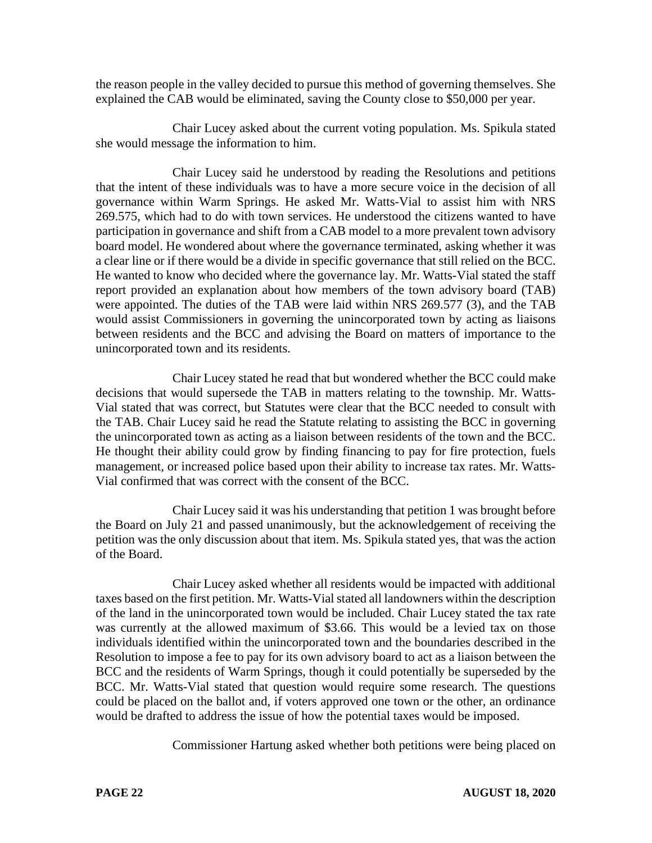the reason people in the valley decided to pursue this method of governing themselves. She explained the CAB would be eliminated, saving the County close to \$50,000 per year.

Chair Lucey asked about the current voting population. Ms. Spikula stated she would message the information to him.

Chair Lucey said he understood by reading the Resolutions and petitions that the intent of these individuals was to have a more secure voice in the decision of all governance within Warm Springs. He asked Mr. Watts-Vial to assist him with NRS 269.575, which had to do with town services. He understood the citizens wanted to have participation in governance and shift from a CAB model to a more prevalent town advisory board model. He wondered about where the governance terminated, asking whether it was a clear line or if there would be a divide in specific governance that still relied on the BCC. He wanted to know who decided where the governance lay. Mr. Watts-Vial stated the staff report provided an explanation about how members of the town advisory board (TAB) were appointed. The duties of the TAB were laid within NRS 269.577 (3), and the TAB would assist Commissioners in governing the unincorporated town by acting as liaisons between residents and the BCC and advising the Board on matters of importance to the unincorporated town and its residents.

Chair Lucey stated he read that but wondered whether the BCC could make decisions that would supersede the TAB in matters relating to the township. Mr. Watts-Vial stated that was correct, but Statutes were clear that the BCC needed to consult with the TAB. Chair Lucey said he read the Statute relating to assisting the BCC in governing the unincorporated town as acting as a liaison between residents of the town and the BCC. He thought their ability could grow by finding financing to pay for fire protection, fuels management, or increased police based upon their ability to increase tax rates. Mr. Watts-Vial confirmed that was correct with the consent of the BCC.

Chair Lucey said it was his understanding that petition 1 was brought before the Board on July 21 and passed unanimously, but the acknowledgement of receiving the petition was the only discussion about that item. Ms. Spikula stated yes, that was the action of the Board.

Chair Lucey asked whether all residents would be impacted with additional taxes based on the first petition. Mr. Watts-Vial stated all landowners within the description of the land in the unincorporated town would be included. Chair Lucey stated the tax rate was currently at the allowed maximum of \$3.66. This would be a levied tax on those individuals identified within the unincorporated town and the boundaries described in the Resolution to impose a fee to pay for its own advisory board to act as a liaison between the BCC and the residents of Warm Springs, though it could potentially be superseded by the BCC. Mr. Watts-Vial stated that question would require some research. The questions could be placed on the ballot and, if voters approved one town or the other, an ordinance would be drafted to address the issue of how the potential taxes would be imposed.

Commissioner Hartung asked whether both petitions were being placed on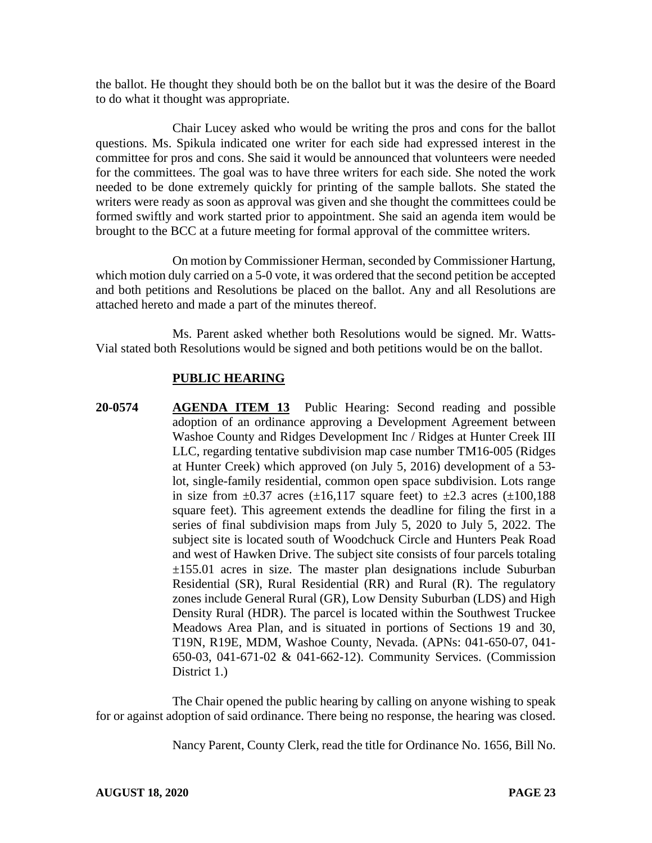the ballot. He thought they should both be on the ballot but it was the desire of the Board to do what it thought was appropriate.

Chair Lucey asked who would be writing the pros and cons for the ballot questions. Ms. Spikula indicated one writer for each side had expressed interest in the committee for pros and cons. She said it would be announced that volunteers were needed for the committees. The goal was to have three writers for each side. She noted the work needed to be done extremely quickly for printing of the sample ballots. She stated the writers were ready as soon as approval was given and she thought the committees could be formed swiftly and work started prior to appointment. She said an agenda item would be brought to the BCC at a future meeting for formal approval of the committee writers.

On motion by Commissioner Herman, seconded by Commissioner Hartung, which motion duly carried on a 5-0 vote, it was ordered that the second petition be accepted and both petitions and Resolutions be placed on the ballot. Any and all Resolutions are attached hereto and made a part of the minutes thereof.

Ms. Parent asked whether both Resolutions would be signed. Mr. Watts-Vial stated both Resolutions would be signed and both petitions would be on the ballot.

## **PUBLIC HEARING**

**20-0574 AGENDA ITEM 13** Public Hearing: Second reading and possible adoption of an ordinance approving a Development Agreement between Washoe County and Ridges Development Inc / Ridges at Hunter Creek III LLC, regarding tentative subdivision map case number TM16-005 (Ridges at Hunter Creek) which approved (on July 5, 2016) development of a 53 lot, single-family residential, common open space subdivision. Lots range in size from  $\pm 0.37$  acres ( $\pm 16,117$  square feet) to  $\pm 2.3$  acres ( $\pm 100,188$ square feet). This agreement extends the deadline for filing the first in a series of final subdivision maps from July 5, 2020 to July 5, 2022. The subject site is located south of Woodchuck Circle and Hunters Peak Road and west of Hawken Drive. The subject site consists of four parcels totaling  $\pm 155.01$  acres in size. The master plan designations include Suburban Residential (SR), Rural Residential (RR) and Rural (R). The regulatory zones include General Rural (GR), Low Density Suburban (LDS) and High Density Rural (HDR). The parcel is located within the Southwest Truckee Meadows Area Plan, and is situated in portions of Sections 19 and 30, T19N, R19E, MDM, Washoe County, Nevada. (APNs: 041-650-07, 041- 650-03, 041-671-02 & 041-662-12). Community Services. (Commission District 1.)

The Chair opened the public hearing by calling on anyone wishing to speak for or against adoption of said ordinance. There being no response, the hearing was closed.

Nancy Parent, County Clerk, read the title for Ordinance No. 1656, Bill No.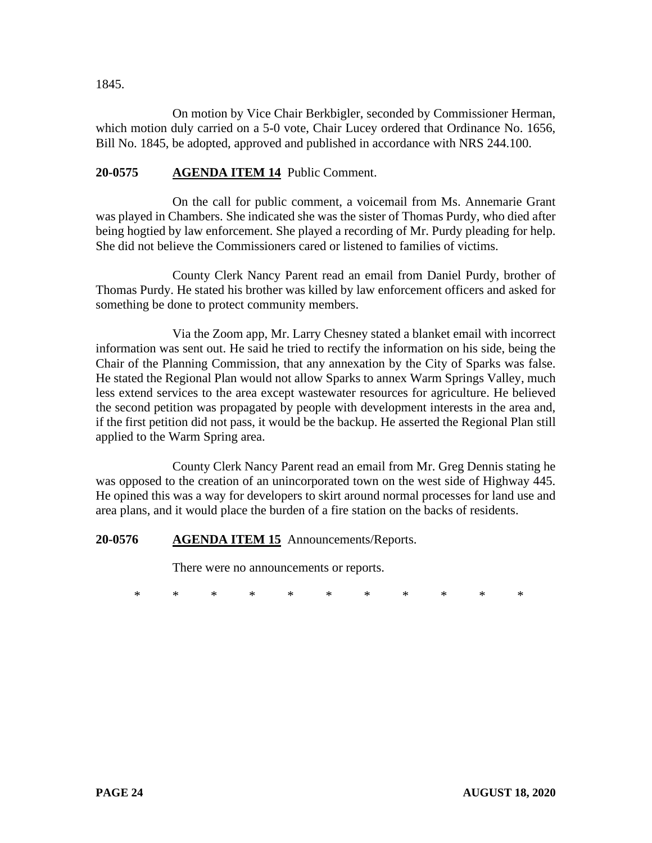1845.

On motion by Vice Chair Berkbigler, seconded by Commissioner Herman, which motion duly carried on a 5-0 vote, Chair Lucey ordered that Ordinance No. 1656, Bill No. 1845, be adopted, approved and published in accordance with NRS 244.100.

# **20-0575 AGENDA ITEM 14** Public Comment.

On the call for public comment, a voicemail from Ms. Annemarie Grant was played in Chambers. She indicated she was the sister of Thomas Purdy, who died after being hogtied by law enforcement. She played a recording of Mr. Purdy pleading for help. She did not believe the Commissioners cared or listened to families of victims.

County Clerk Nancy Parent read an email from Daniel Purdy, brother of Thomas Purdy. He stated his brother was killed by law enforcement officers and asked for something be done to protect community members.

Via the Zoom app, Mr. Larry Chesney stated a blanket email with incorrect information was sent out. He said he tried to rectify the information on his side, being the Chair of the Planning Commission, that any annexation by the City of Sparks was false. He stated the Regional Plan would not allow Sparks to annex Warm Springs Valley, much less extend services to the area except wastewater resources for agriculture. He believed the second petition was propagated by people with development interests in the area and, if the first petition did not pass, it would be the backup. He asserted the Regional Plan still applied to the Warm Spring area.

County Clerk Nancy Parent read an email from Mr. Greg Dennis stating he was opposed to the creation of an unincorporated town on the west side of Highway 445. He opined this was a way for developers to skirt around normal processes for land use and area plans, and it would place the burden of a fire station on the backs of residents.

#### **20-0576 AGENDA ITEM 15** Announcements/Reports.

There were no announcements or reports.

\* \* \* \* \* \* \* \* \* \* \*